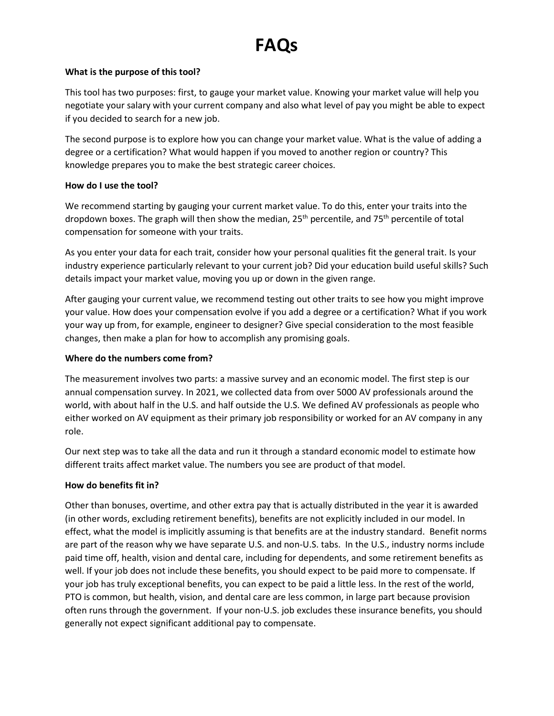# **FAQs**

## **What is the purpose of this tool?**

This tool has two purposes: first, to gauge your market value. Knowing your market value will help you negotiate your salary with your current company and also what level of pay you might be able to expect if you decided to search for a new job.

The second purpose is to explore how you can change your market value. What is the value of adding a degree or a certification? What would happen if you moved to another region or country? This knowledge prepares you to make the best strategic career choices.

## **How do I use the tool?**

We recommend starting by gauging your current market value. To do this, enter your traits into the dropdown boxes. The graph will then show the median,  $25<sup>th</sup>$  percentile, and  $75<sup>th</sup>$  percentile of total compensation for someone with your traits.

As you enter your data for each trait, consider how your personal qualities fit the general trait. Is your industry experience particularly relevant to your current job? Did your education build useful skills? Such details impact your market value, moving you up or down in the given range.

After gauging your current value, we recommend testing out other traits to see how you might improve your value. How does your compensation evolve if you add a degree or a certification? What if you work your way up from, for example, engineer to designer? Give special consideration to the most feasible changes, then make a plan for how to accomplish any promising goals.

## **Where do the numbers come from?**

The measurement involves two parts: a massive survey and an economic model. The first step is our annual compensation survey. In 2021, we collected data from over 5000 AV professionals around the world, with about half in the U.S. and half outside the U.S. We defined AV professionals as people who either worked on AV equipment as their primary job responsibility or worked for an AV company in any role.

Our next step was to take all the data and run it through a standard economic model to estimate how different traits affect market value. The numbers you see are product of that model.

## **How do benefits fit in?**

Other than bonuses, overtime, and other extra pay that is actually distributed in the year it is awarded (in other words, excluding retirement benefits), benefits are not explicitly included in our model. In effect, what the model is implicitly assuming is that benefits are at the industry standard. Benefit norms are part of the reason why we have separate U.S. and non-U.S. tabs. In the U.S., industry norms include paid time off, health, vision and dental care, including for dependents, and some retirement benefits as well. If your job does not include these benefits, you should expect to be paid more to compensate. If your job has truly exceptional benefits, you can expect to be paid a little less. In the rest of the world, PTO is common, but health, vision, and dental care are less common, in large part because provision often runs through the government. If your non-U.S. job excludes these insurance benefits, you should generally not expect significant additional pay to compensate.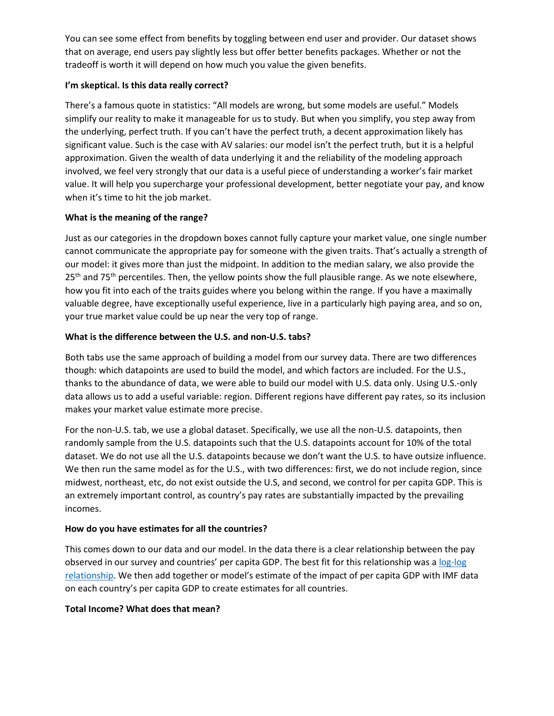You can see some effect from benefits by toggling between end user and provider. Our dataset shows that on average, end users pay slightly less but offer better benefits packages. Whether or not the tradeoff is worth it will depend on how much you value the given benefits.

## **I'm skeptical. Is this data really correct?**

There's a famous quote in statistics: "All models are wrong, but some models are useful." Models simplify our reality to make it manageable for us to study. But when you simplify, you step away from the underlying, perfect truth. If you can't have the perfect truth, a decent approximation likely has significant value. Such is the case with AV salaries: our model isn't the perfect truth, but it is a helpful approximation. Given the wealth of data underlying it and the reliability of the modeling approach involved, we feel very strongly that our data is a useful piece of understanding a worker's fair market value. It will help you supercharge your professional development, better negotiate your pay, and know when it's time to hit the job market.

## **What is the meaning of the range?**

Just as our categories in the dropdown boxes cannot fully capture your market value, one single number cannot communicate the appropriate pay for someone with the given traits. That's actually a strength of our model: it gives more than just the midpoint. In addition to the median salary, we also provide the 25<sup>th</sup> and 75<sup>th</sup> percentiles. Then, the yellow points show the full plausible range. As we note elsewhere, how you fit into each of the traits guides where you belong within the range. If you have a maximally valuable degree, have exceptionally useful experience, live in a particularly high paying area, and so on, your true market value could be up near the very top of range.

## **What is the difference between the U.S. and non-U.S. tabs?**

Both tabs use the same approach of building a model from our survey data. There are two differences though: which datapoints are used to build the model, and which factors are included. For the U.S., thanks to the abundance of data, we were able to build our model with U.S. data only. Using U.S.-only data allows us to add a useful variable: region. Different regions have different pay rates, so its inclusion makes your market value estimate more precise.

For the non-U.S. tab, we use a global dataset. Specifically, we use all the non-U.S. datapoints, then randomly sample from the U.S. datapoints such that the U.S. datapoints account for 10% of the total dataset. We do not use all the U.S. datapoints because we don't want the U.S. to have outsize influence. We then run the same model as for the U.S., with two differences: first, we do not include region, since midwest, northeast, etc, do not exist outside the U.S, and second, we control for per capita GDP. This is an extremely important control, as country's pay rates are substantially impacted by the prevailing incomes.

## **How do you have estimates for all the countries?**

This comes down to our data and our model. In the data there is a clear relationship between the pay observed in our survey and countries' per capita GDP. The best fit for this relationship was a log-log [relationship.](https://www.dummies.com/education/economics/econometrics/econometrics-and-the-log-log-model/) We then add together or model's estimate of the impact of per capita GDP with IMF data on each country's per capita GDP to create estimates for all countries.

## **Total Income? What does that mean?**